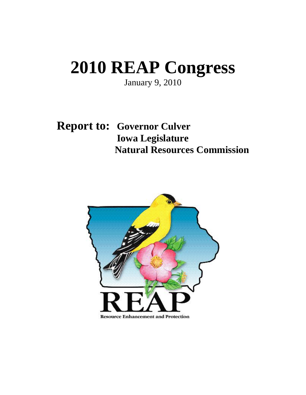# **2010 REAP Congress**

January 9, 2010

 **Report to: Governor Culver Iowa Legislature Natural Resources Commission** 

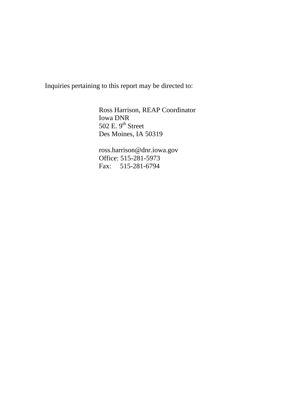Inquiries pertaining to this report may be directed to:

 Ross Harrison, REAP Coordinator Iowa DNR 502 E.  $9^{\text{th}}$  Street Des Moines, IA 50319

 ross.harrison@dnr.iowa.gov Office: 515-281-5973 Fax: 515-281-6794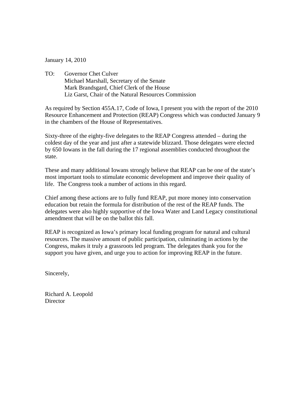January 14, 2010

TO: Governor Chet Culver Michael Marshall, Secretary of the Senate Mark Brandsgard, Chief Clerk of the House Liz Garst, Chair of the Natural Resources Commission

As required by Section 455A.17, Code of Iowa, I present you with the report of the 2010 Resource Enhancement and Protection (REAP) Congress which was conducted January 9 in the chambers of the House of Representatives.

Sixty-three of the eighty-five delegates to the REAP Congress attended – during the coldest day of the year and just after a statewide blizzard. Those delegates were elected by 650 Iowans in the fall during the 17 regional assemblies conducted throughout the state.

These and many additional Iowans strongly believe that REAP can be one of the state's most important tools to stimulate economic development and improve their quality of life. The Congress took a number of actions in this regard.

Chief among these actions are to fully fund REAP, put more money into conservation education but retain the formula for distribution of the rest of the REAP funds. The delegates were also highly supportive of the Iowa Water and Land Legacy constitutional amendment that will be on the ballot this fall.

REAP is recognized as Iowa's primary local funding program for natural and cultural resources. The massive amount of public participation, culminating in actions by the Congress, makes it truly a grassroots led program. The delegates thank you for the support you have given, and urge you to action for improving REAP in the future.

Sincerely,

Richard A. Leopold **Director**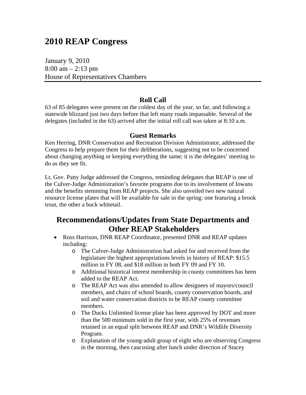# **2010 REAP Congress**

January 9, 2010 8:00 am  $-2:13$  pm House of Representatives Chambers

# **Roll Call**

63 of 85 delegates were present on the coldest day of the year, so far, and following a statewide blizzard just two days before that left many roads impassable. Several of the delegates (included in the 63) arrived after the initial roll call was taken at 8:10 a.m.

# **Guest Remarks**

Ken Herring, DNR Conservation and Recreation Division Administrator, addressed the Congress to help prepare them for their deliberations, suggesting not to be concerned about changing anything or keeping everything the same; it is the delegates' meeting to do as they see fit.

Lt. Gov. Patty Judge addressed the Congress, reminding delegates that REAP is one of the Culver-Judge Administration's favorite programs due to its involvement of Iowans and the benefits stemming from REAP projects. She also unveiled two new natural resource license plates that will be available for sale in the spring: one featuring a brook trout, the other a buck whitetail.

# **Recommendations/Updates from State Departments and Other REAP Stakeholders**

- Ross Harrison, DNR REAP Coordinator, presented DNR and REAP updates including:
	- o The Culver-Judge Administration had asked for and received from the legislature the highest appropriations levels in history of REAP: \$15.5 million in FY 08, and \$18 million in both FY 09 and FY 10.
	- o Additional historical interest membership in county committees has been added to the REAP Act.
	- o The REAP Act was also amended to allow designees of mayors/council members, and chairs of school boards, county conservation boards, and soil and water conservation districts to be REAP county committee members.
	- o The Ducks Unlimited license plate has been approved by DOT and more than the 500 minimum sold in the first year, with 25% of revenues retained in an equal split between REAP and DNR's Wildlife Diversity Program.
	- o Explanation of the young-adult group of eight who are observing Congress in the morning, then caucusing after lunch under direction of Stacey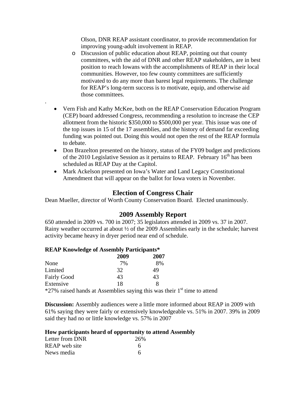Olson, DNR REAP assistant coordinator, to provide recommendation for improving young-adult involvement in REAP.

- o Discussion of public education about REAP, pointing out that county committees, with the aid of DNR and other REAP stakeholders, are in best position to reach Iowans with the accomplishments of REAP in their local communities. However, too few county committees are sufficiently motivated to do any more than barest legal requirements. The challenge for REAP's long-term success is to motivate, equip, and otherwise aid those committees.
- Vern Fish and Kathy McKee, both on the REAP Conservation Education Program (CEP) board addressed Congress, recommending a resolution to increase the CEP allotment from the historic \$350,000 to \$500,000 per year. This issue was one of the top issues in 15 of the 17 assemblies, and the history of demand far exceeding funding was pointed out. Doing this would not open the rest of the REAP formula to debate.
- Don Brazelton presented on the history, status of the FY09 budget and predictions of the 2010 Legislative Session as it pertains to REAP. February  $16<sup>th</sup>$  has been scheduled as REAP Day at the Capitol.
- Mark Ackelson presented on Iowa's Water and Land Legacy Constitutional Amendment that will appear on the ballot for Iowa voters in November.

# **Election of Congress Chair**

Dean Mueller, director of Worth County Conservation Board. Elected unanimously.

# **2009 Assembly Report**

650 attended in 2009 vs. 700 in 2007; 35 legislators attended in 2009 vs. 37 in 2007. Rainy weather occurred at about ½ of the 2009 Assemblies early in the schedule; harvest activity became heavy in dryer period near end of schedule.

### **REAP Knowledge of Assembly Participants\***

.

|                    | 2009 | 2007 |  |
|--------------------|------|------|--|
| None               | 7%   | 8%   |  |
| Limited            | 32   | 49   |  |
| <b>Fairly Good</b> | 43   | 43   |  |
| Extensive          | 18   |      |  |
| $*270$ $*31$ $*1$  |      |      |  |

 $*27\%$  raised hands at Assemblies saying this was their  $1<sup>st</sup>$  time to attend

**Discussion:** Assembly audiences were a little more informed about REAP in 2009 with 61% saying they were fairly or extensively knowledgeable vs. 51% in 2007. 39% in 2009 said they had no or little knowledge vs. 57% in 2007

#### **How participants heard of opportunity to attend Assembly**

| Letter from DNR | 26% |
|-----------------|-----|
| REAP web site   | 6   |
| News media      | 6   |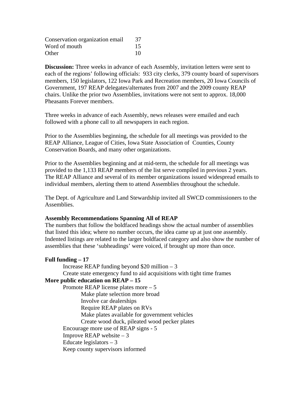| Conservation organization email | 37 |
|---------------------------------|----|
| Word of mouth                   | 15 |
| Other                           | 10 |

**Discussion:** Three weeks in advance of each Assembly, invitation letters were sent to each of the regions' following officials: 933 city clerks, 379 county board of supervisors members, 150 legislators, 122 Iowa Park and Recreation members, 20 Iowa Councils of Government, 197 REAP delegates/alternates from 2007 and the 2009 county REAP chairs. Unlike the prior two Assemblies, invitations were not sent to approx. 18,000 Pheasants Forever members.

Three weeks in advance of each Assembly, news releases were emailed and each followed with a phone call to all newspapers in each region.

Prior to the Assemblies beginning, the schedule for all meetings was provided to the REAP Alliance, League of Cities, Iowa State Association of Counties, County Conservation Boards, and many other organizations.

Prior to the Assemblies beginning and at mid-term, the schedule for all meetings was provided to the 1,133 REAP members of the list serve compiled in previous 2 years. The REAP Alliance and several of its member organizations issued widespread emails to individual members, alerting them to attend Assemblies throughout the schedule.

The Dept. of Agriculture and Land Stewardship invited all SWCD commissioners to the Assemblies.

#### **Assembly Recommendations Spanning All of REAP**

The numbers that follow the boldfaced headings show the actual number of assemblies that listed this idea; where no number occurs, the idea came up at just one assembly. Indented listings are related to the larger boldfaced category and also show the number of assemblies that these 'subheadings' were voiced, if brought up more than once.

# **Full funding – 17**  Increase REAP funding beyond  $$20$  million – 3 Create state emergency fund to aid acquisitions with tight time frames **More public education on REAP – 15**  Promote REAP license plates more – 5 Make plate selection more broad Involve car dealerships Require REAP plates on RVs Make plates available for government vehicles Create wood duck, pileated wood pecker plates Encourage more use of REAP signs - 5 Improve REAP website  $-3$ Educate legislators  $-3$ Keep county supervisors informed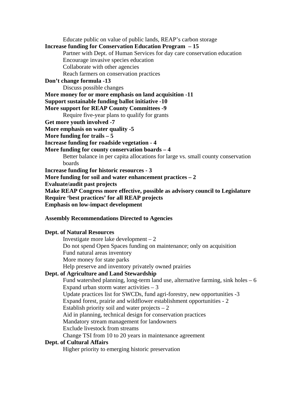Educate public on value of public lands, REAP's carbon storage **Increase funding for Conservation Education Program – 15**  Partner with Dept. of Human Services for day care conservation education Encourage invasive species education Collaborate with other agencies Reach farmers on conservation practices **Don't change formula -13**  Discuss possible changes **More money for or more emphasis on land acquisition -11 Support sustainable funding ballot initiative -10 More support for REAP County Committees -9**  Require five-year plans to qualify for grants **Get more youth involved -7 More emphasis on water quality -5 More funding for trails – 5 Increase funding for roadside vegetation - 4 More funding for county conservation boards – 4**  Better balance in per capita allocations for large vs. small county conservation boards **Increase funding for historic resources - 3 More funding for soil and water enhancement practices – 2 Evaluate/audit past projects Make REAP Congress more effective, possible as advisory council to Legislature Require 'best practices' for all REAP projects Emphasis on low-impact development Assembly Recommendations Directed to Agencies** 

#### **Dept. of Natural Resources**

 Investigate more lake development – 2 Do not spend Open Spaces funding on maintenance; only on acquisition Fund natural areas inventory More money for state parks Help preserve and inventory privately owned prairies

#### **Dept. of Agriculture and Land Stewardship**

Fund watershed planning, long-term land use, alternative farming, sink holes  $-6$ Expand urban storm water activities  $-3$  Update practices list for SWCDs, fund agri-forestry, new opportunities -3 Expand forest, prairie and wildflower establishment opportunities - 2 Establish priority soil and water projects  $-2$  Aid in planning, technical design for conservation practices Mandatory stream management for landowners Exclude livestock from streams Change TSI from 10 to 20 years in maintenance agreement **Dept. of Cultural Affairs** 

Higher priority to emerging historic preservation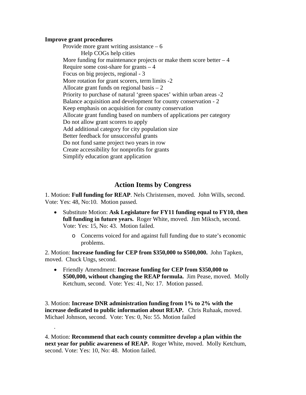#### **Improve grant procedures**

.

Provide more grant writing assistance  $-6$  Help COGs help cities More funding for maintenance projects or make them score better  $-4$  Require some cost-share for grants – 4 Focus on big projects, regional - 3 More rotation for grant scorers, term limits -2 Allocate grant funds on regional basis  $-2$  Priority to purchase of natural 'green spaces' within urban areas -2 Balance acquisition and development for county conservation - 2 Keep emphasis on acquisition for county conservation Allocate grant funding based on numbers of applications per category Do not allow grant scorers to apply Add additional category for city population size Better feedback for unsuccessful grants Do not fund same project two years in row Create accessibility for nonprofits for grants Simplify education grant application

# **Action Items by Congress**

1. Motion: **Full funding for REAP**. Nels Christensen, moved. John Wills, second. Vote: Yes: 48, No:10. Motion passed.

- Substitute Motion: **Ask Legislature for FY11 funding equal to FY10, then full funding in future years.** Roger White, moved. Jim Miksch, second. Vote: Yes: 15, No: 43. Motion failed.
	- o Concerns voiced for and against full funding due to state's economic problems.

2. Motion: **Increase funding for CEP from \$350,000 to \$500,000.** John Tapken, moved. Chuck Ungs, second.

• Friendly Amendment: **Increase funding for CEP from \$350,000 to \$500,000, without changing the REAP formula.** Jim Pease, moved.Molly Ketchum, second. Vote: Yes: 41, No: 17. Motion passed.

3. Motion: **Increase DNR administration funding from 1% to 2% with the increase dedicated to public information about REAP.** Chris Ruhaak, moved. Michael Johnson, second. Vote: Yes: 0, No: 55. Motion failed

4. Motion: **Recommend that each county committee develop a plan within the next year for public awareness of REAP.** Roger White, moved. Molly Ketchum, second. Vote: Yes: 10, No: 48. Motion failed.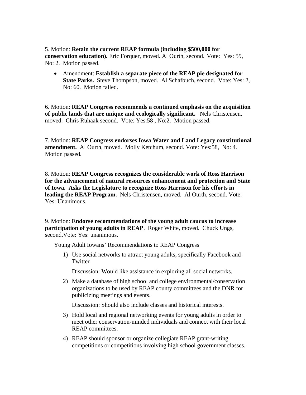5. Motion: **Retain the current REAP formula (including \$500,000 for conservation education).** Eric Forquer, moved. Al Ourth, second. Vote: Yes: 59, No: 2. Motion passed.

• Amendment: **Establish a separate piece of the REAP pie designated for State Parks.** Steve Thompson, moved. Al Schafbuch, second. Vote: Yes: 2, No: 60. Motion failed.

6. Motion: **REAP Congress recommends a continued emphasis on the acquisition of public lands that are unique and ecologically significant.** Nels Christensen, moved. Chris Ruhaak second. Vote: Yes:58 , No:2. Motion passed.

7. Motion: **REAP Congress endorses Iowa Water and Land Legacy constitutional amendment.** Al Ourth, moved. Molly Ketchum, second. Vote: Yes:58, No: 4. Motion passed.

8. Motion: **REAP Congress recognizes the considerable work of Ross Harrison for the advancement of natural resources enhancement and protection and State of Iowa. Asks the Legislature to recognize Ross Harrison for his efforts in leading the REAP Program.** Nels Christensen, moved. Al Ourth, second. Vote: Yes: Unanimous.

9. Motion: **Endorse recommendations of the young adult caucus to increase participation of young adults in REAP**. Roger White, moved. Chuck Ungs, second.Vote: Yes: unanimous.

Young Adult Iowans' Recommendations to REAP Congress

1) Use social networks to attract young adults, specifically Facebook and Twitter

Discussion: Would like assistance in exploring all social networks.

2) Make a database of high school and college environmental/conservation organizations to be used by REAP county committees and the DNR for publicizing meetings and events.

Discussion: Should also include classes and historical interests.

- 3) Hold local and regional networking events for young adults in order to meet other conservation-minded individuals and connect with their local REAP committees.
- 4) REAP should sponsor or organize collegiate REAP grant-writing competitions or competitions involving high school government classes.